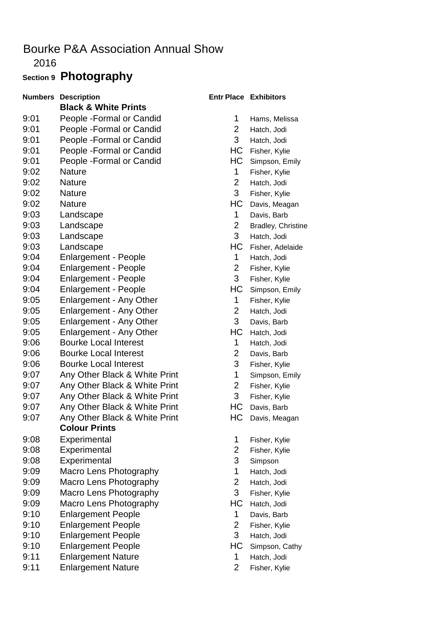### 2016

## **Section 9 Photography**

| <b>Numbers</b> | <b>Description</b>              |                | <b>Entr Place Exhibitors</b> |
|----------------|---------------------------------|----------------|------------------------------|
|                | <b>Black &amp; White Prints</b> |                |                              |
| 9:01           | People - Formal or Candid       | 1              | Hams, Melis                  |
| 9:01           | People - Formal or Candid       | 2              | Hatch, Jodi                  |
| 9:01           | People - Formal or Candid       | 3              | Hatch, Jodi                  |
| 9:01           | People - Formal or Candid       | HС             | Fisher, Kylie                |
| 9:01           | People - Formal or Candid       | HС             | Simpson, En                  |
| 9:02           | <b>Nature</b>                   | 1              | Fisher, Kylie                |
| 9:02           | <b>Nature</b>                   | $\overline{2}$ | Hatch, Jodi                  |
| 9:02           | <b>Nature</b>                   | 3              | Fisher, Kylie                |
| 9:02           | <b>Nature</b>                   | HC             | Davis, Meag                  |
| 9:03           | Landscape                       | 1              | Davis, Barb                  |
| 9:03           | Landscape                       | $\overline{2}$ | Bradley, Chr                 |
| 9:03           | Landscape                       | 3              | Hatch, Jodi                  |
| 9:03           | Landscape                       | HC             | Fisher, Adela                |
| 9:04           | <b>Enlargement - People</b>     | 1              | Hatch, Jodi                  |
| 9:04           | <b>Enlargement - People</b>     | $\overline{2}$ | Fisher, Kylie                |
| 9:04           | <b>Enlargement - People</b>     | 3              | Fisher, Kylie                |
| 9:04           | <b>Enlargement - People</b>     | HС             | Simpson, En                  |
| 9:05           | <b>Enlargement - Any Other</b>  | 1              | Fisher, Kylie                |
| 9:05           | Enlargement - Any Other         | 2              | Hatch, Jodi                  |
| 9:05           | Enlargement - Any Other         | 3              | Davis, Barb                  |
| 9:05           | <b>Enlargement - Any Other</b>  | HC             | Hatch, Jodi                  |
| 9:06           | <b>Bourke Local Interest</b>    | 1              | Hatch, Jodi                  |
| 9:06           | <b>Bourke Local Interest</b>    | 2              | Davis, Barb                  |
| 9:06           | <b>Bourke Local Interest</b>    | 3              | Fisher, Kylie                |
| 9:07           | Any Other Black & White Print   | 1              | Simpson, En                  |
| 9:07           | Any Other Black & White Print   | $\overline{2}$ | Fisher, Kylie                |
| 9:07           | Any Other Black & White Print   | 3              | Fisher, Kylie                |
| 9:07           | Any Other Black & White Print   | HС             | Davis, Barb                  |
| 9:07           | Any Other Black & White Print   | HС             | Davis, Meag                  |
|                | <b>Colour Prints</b>            |                |                              |
| 9:08           | Experimental                    | 1              | Fisher, Kylie                |
| 9:08           | Experimental                    | $\overline{c}$ | Fisher, Kylie                |
| 9:08           | Experimental                    | 3              | Simpson                      |
| 9:09           | Macro Lens Photography          | 1              | Hatch, Jodi                  |
| 9:09           | Macro Lens Photography          | 2              | Hatch, Jodi                  |
| 9:09           | Macro Lens Photography          | 3              | Fisher, Kylie                |
| 9:09           | Macro Lens Photography          | HC             | Hatch, Jodi                  |
| 9:10           | <b>Enlargement People</b>       | 1              | Davis, Barb                  |
| 9:10           | <b>Enlargement People</b>       | $\overline{2}$ | Fisher, Kylie                |
| 9:10           | <b>Enlargement People</b>       | 3              | Hatch, Jodi                  |
| 9:10           | <b>Enlargement People</b>       | HC             | Simpson, Ca                  |
| 9:11           | <b>Enlargement Nature</b>       | 1              | Hatch, Jodi                  |
| 9:11           | <b>Enlargement Nature</b>       | 2              | Fisher, Kylie                |

#### **Entr Place Exhibitors**

- 1 Hams, Melissa
- 2 Hatch, Jodi
- 3 Hatch, Jodi
- HC Fisher, Kylie
- HC Simpson, Emily
- 1 Fisher, Kylie
- 2 Hatch, Jodi
- 3 Fisher, Kylie
- HC Davis, Meagan
- 1 Davis, Barb
- 2 Bradley, Christine
- 3 Hatch, Jodi
- HC Fisher, Adelaide
- 1 Hatch, Jodi
- 2 Fisher, Kylie
- 3 Fisher, Kylie
- HC Simpson, Emily
- 1 Fisher, Kylie
- 2 Hatch, Jodi
- 3 Davis, Barb
- HC Hatch, Jodi
- 1 Hatch, Jodi
- 2 Davis, Barb
- 3 Fisher, Kylie
- nt 1 Simpson, Emily
- nt 2 Fisher, Kylie
- nt 3 Fisher, Kylie
- nt **HC** Davis, Barb
- nt **HC** Davis, Meagan
	- 1 Fisher, Kylie
	- 2 Fisher, Kylie
	- 3 Simpson
	- 1 Hatch, Jodi
	- 2 Hatch, Jodi
	- 3 Fisher, Kylie
	- HC Hatch, Jodi
	- 1 Davis, Barb
	- 2 Fisher, Kylie
	- 3 Hatch, Jodi
	- HC Simpson, Cathy
		- 1 Hatch, Jodi
		-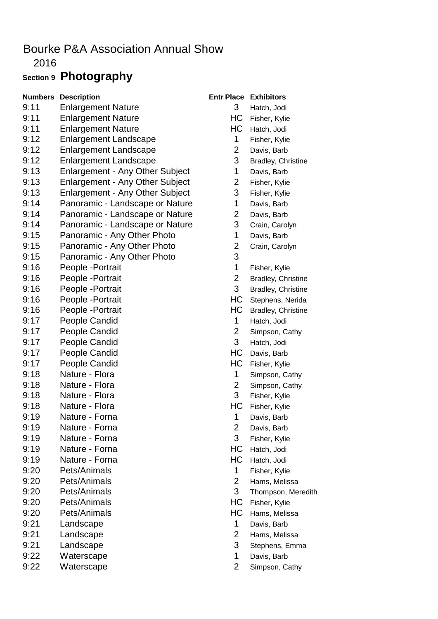2016

## **Section 9 Photography**

| <b>Numbers</b> | <b>Description</b>                     | <b>Entr Plac</b>        |
|----------------|----------------------------------------|-------------------------|
| 9:11           | <b>Enlargement Nature</b>              | 3                       |
| 9:11           | <b>Enlargement Nature</b>              | H                       |
| 9:11           | <b>Enlargement Nature</b>              | H                       |
| 9:12           | <b>Enlargement Landscape</b>           | 1                       |
| 9:12           | <b>Enlargement Landscape</b>           | $\frac{2}{3}$           |
| 9:12           | <b>Enlargement Landscape</b>           |                         |
| 9:13           | <b>Enlargement - Any Other Subject</b> | $\mathbf 1$             |
| 9:13           | <b>Enlargement - Any Other Subject</b> | $\overline{\mathbf{c}}$ |
| 9:13           | <b>Enlargement - Any Other Subject</b> | 3                       |
| 9:14           | Panoramic - Landscape or Nature        | $\mathbf 1$             |
| 9:14           | Panoramic - Landscape or Nature        | $\overline{c}$          |
| 9:14           | Panoramic - Landscape or Nature        | 3                       |
| 9:15           | Panoramic - Any Other Photo            | $\mathbf{1}$            |
| 9:15           | Panoramic - Any Other Photo            | $\frac{2}{3}$           |
| 9:15           | Panoramic - Any Other Photo            |                         |
| 9:16           | People - Portrait                      | $\mathbf 1$             |
| 9:16           | People - Portrait                      | $\frac{2}{3}$           |
| 9:16           | People - Portrait                      |                         |
| 9:16           | People - Portrait                      | H                       |
| 9:16           | People - Portrait                      | H                       |
| 9:17           | People Candid                          | $\mathbf 1$             |
| 9:17           | People Candid                          | $\overline{\mathbf{c}}$ |
| 9:17           | <b>People Candid</b>                   | 3                       |
| 9:17           | <b>People Candid</b>                   | H                       |
| 9:17           | <b>People Candid</b>                   | H                       |
| 9:18           | Nature - Flora                         | 1                       |
| 9:18           | Nature - Flora                         | $\overline{\mathbf{c}}$ |
| 9:18           | Nature - Flora                         | 3                       |
| 9:18           | Nature - Flora                         | H                       |
| 9:19           | Nature - Forna                         | 1                       |
| 9:19           | Nature - Forna                         | $\overline{c}$          |
| 9:19           | Nature - Forna                         | 3                       |
| 9:19           | Nature - Forna                         | H                       |
| 9:19           | Nature - Forna                         | H                       |
| 9:20           | Pets/Animals                           | 1                       |
| 9:20           | Pets/Animals                           | $\overline{\mathbf{c}}$ |
| 9:20           | Pets/Animals                           | 3                       |
| 9:20           | Pets/Animals                           | H                       |
| 9:20           | Pets/Animals                           | H                       |
| 9:21           | Landscape                              | 1                       |
| 9:21           | Landscape                              | $\overline{c}$          |
| 9:21           | Landscape                              | 3                       |
| 9:22           | Waterscape                             | 1                       |
| 9:22           | Waterscape                             | $\overline{2}$          |

## **Numbers Description Entrants Place Exhibitors**

- 3 Hatch, Jodi
- HC Fisher, Kylie
- HC Hatch, Jodi
- 1 Fisher, Kylie
- 2 Davis, Barb
- 3 Bradley, Christine
- 1 Davis, Barb
- 2 Fisher, Kylie
- 3 Fisher, Kylie
- 1 Davis, Barb
- 2 Davis, Barb
- 3 Crain, Carolyn
- 1 Davis, Barb
- 2 Crain, Carolyn
- 
- 1 Fisher, Kylie
- 2 Bradley, Christine
- 3 Bradley, Christine
- HC Stephens, Nerida
- HC Bradley, Christine
- 1 Hatch, Jodi
- 2 Simpson, Cathy
- 3 Hatch, Jodi
- HC Davis, Barb
- HC Fisher, Kylie
- 1 Simpson, Cathy
- 2 Simpson, Cathy
- 3 Fisher, Kylie
- HC Fisher, Kylie
- 1 Davis, Barb
- 2 Davis, Barb
- 3 Fisher, Kylie
- HC Hatch, Jodi
- HC Hatch, Jodi
- 1 Fisher, Kylie
- 2 Hams, Melissa
- 3 Thompson, Meredith
- HC Fisher, Kylie
- HC Hams, Melissa
- 1 Davis, Barb
- 2 Hams, Melissa
- 3 Stephens, Emma
- 1 Davis, Barb
- 2 Simpson, Cathy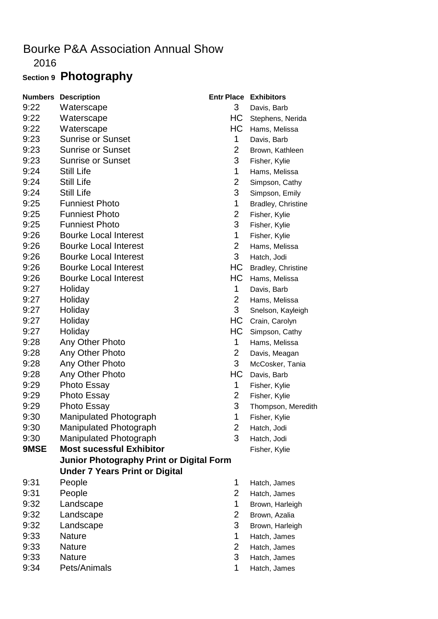2016

# **Section 9 Photography**

| <b>Numbers</b> | <b>Description</b>                              |                | <b>Entr Place Exhibitors</b> |
|----------------|-------------------------------------------------|----------------|------------------------------|
| 9:22           | Waterscape                                      | 3 <sup>1</sup> | Davis, Barb                  |
| 9:22           | Waterscape                                      | HC             | Stephens, Nerida             |
| 9:22           | Waterscape                                      | HС             | Hams, Melissa                |
| 9:23           | <b>Sunrise or Sunset</b>                        | $\mathbf 1$    | Davis, Barb                  |
| 9:23           | <b>Sunrise or Sunset</b>                        | $\overline{2}$ | Brown, Kathleen              |
| 9:23           | <b>Sunrise or Sunset</b>                        | 3              | Fisher, Kylie                |
| 9:24           | <b>Still Life</b>                               | 1              | Hams, Melissa                |
| 9:24           | <b>Still Life</b>                               | $\overline{2}$ | Simpson, Cathy               |
| 9:24           | <b>Still Life</b>                               | 3              | Simpson, Emily               |
| 9:25           | <b>Funniest Photo</b>                           | 1              | Bradley, Christine           |
| 9:25           | <b>Funniest Photo</b>                           | $\overline{2}$ | Fisher, Kylie                |
| 9:25           | <b>Funniest Photo</b>                           | 3              | Fisher, Kylie                |
| 9:26           | <b>Bourke Local Interest</b>                    | 1              | Fisher, Kylie                |
| 9:26           | <b>Bourke Local Interest</b>                    | $\overline{2}$ | Hams, Melissa                |
| 9:26           | <b>Bourke Local Interest</b>                    | 3              | Hatch, Jodi                  |
| 9:26           | <b>Bourke Local Interest</b>                    | HC             | Bradley, Christine           |
| 9:26           | <b>Bourke Local Interest</b>                    | HC             | Hams, Melissa                |
| 9:27           | Holiday                                         | $\mathbf{1}$   | Davis, Barb                  |
| 9:27           | Holiday                                         | $\overline{2}$ | Hams, Melissa                |
| 9:27           | Holiday                                         | 3              | Snelson, Kayleigh            |
| 9:27           | Holiday                                         | HC             | Crain, Carolyn               |
| 9:27           | Holiday                                         | HС             | Simpson, Cathy               |
| 9:28           | Any Other Photo                                 | 1              | Hams, Melissa                |
| 9:28           | Any Other Photo                                 | $\overline{2}$ | Davis, Meagan                |
| 9:28           | Any Other Photo                                 | 3              | McCosker, Tania              |
| 9:28           | Any Other Photo                                 | HC             | Davis, Barb                  |
| 9:29           | <b>Photo Essay</b>                              | 1              | Fisher, Kylie                |
| 9:29           | <b>Photo Essay</b>                              | 2              | Fisher, Kylie                |
| 9:29           | Photo Essay                                     | 3              | Thompson, Meredith           |
| 9:30           | Manipulated Photograph                          | 1              | Fisher, Kylie                |
| 9:30           | <b>Manipulated Photograph</b>                   | $\overline{2}$ | Hatch, Jodi                  |
| 9:30           | <b>Manipulated Photograph</b>                   | 3              | Hatch, Jodi                  |
| 9MSE           | <b>Most sucessful Exhibitor</b>                 |                | Fisher, Kylie                |
|                | <b>Junior Photography Print or Digital Form</b> |                |                              |
|                | <b>Under 7 Years Print or Digital</b>           |                |                              |
| 9:31           | People                                          | 1              | Hatch, James                 |
| 9:31           | People                                          | $\overline{2}$ | Hatch, James                 |
| 9:32           | Landscape                                       | 1              | Brown, Harleigh              |
| 9:32           | Landscape                                       | $\overline{2}$ | Brown, Azalia                |
| 9:32           | Landscape                                       | 3              | Brown, Harleigh              |
| 9:33           | <b>Nature</b>                                   | 1              | Hatch, James                 |
| 9:33           | <b>Nature</b>                                   | $\overline{2}$ | Hatch, James                 |
| 9:33           | <b>Nature</b>                                   | 3              | Hatch, James                 |
| 9:34           | Pets/Animals                                    | 1              | Hatch, James                 |